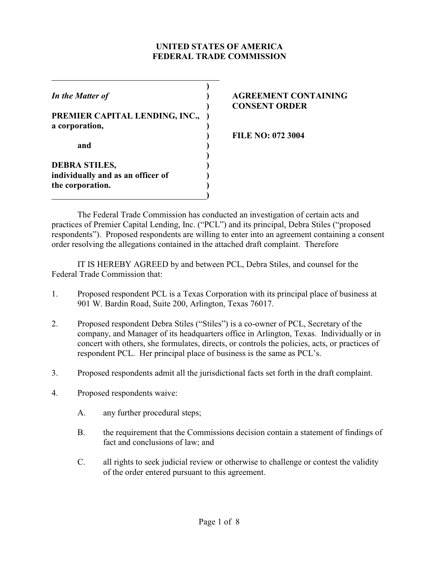### **UNITED STATES OF AMERICA FEDERAL TRADE COMMISSION**

**)** *In the Matter of* **) AGREEMENT CONTAINING PREMIER CAPITAL LENDING, INC., ) a corporation, ) and ) ) DEBRA STILES, ) individually and as an officer of ) the corporation. )**

 **)**

# **) CONSENT ORDER**

**) FILE NO: 072 3004**

The Federal Trade Commission has conducted an investigation of certain acts and practices of Premier Capital Lending, Inc. ("PCL") and its principal, Debra Stiles ("proposed respondents"). Proposed respondents are willing to enter into an agreement containing a consent order resolving the allegations contained in the attached draft complaint. Therefore

IT IS HEREBY AGREED by and between PCL, Debra Stiles, and counsel for the Federal Trade Commission that:

- 1. Proposed respondent PCL is a Texas Corporation with its principal place of business at 901 W. Bardin Road, Suite 200, Arlington, Texas 76017.
- 2. Proposed respondent Debra Stiles ("Stiles") is a co-owner of PCL, Secretary of the company, and Manager of its headquarters office in Arlington, Texas. Individually or in concert with others, she formulates, directs, or controls the policies, acts, or practices of respondent PCL. Her principal place of business is the same as PCL's.
- 3. Proposed respondents admit all the jurisdictional facts set forth in the draft complaint.
- 4. Proposed respondents waive:
	- A. any further procedural steps;
	- B. the requirement that the Commissions decision contain a statement of findings of fact and conclusions of law; and
	- C. all rights to seek judicial review or otherwise to challenge or contest the validity of the order entered pursuant to this agreement.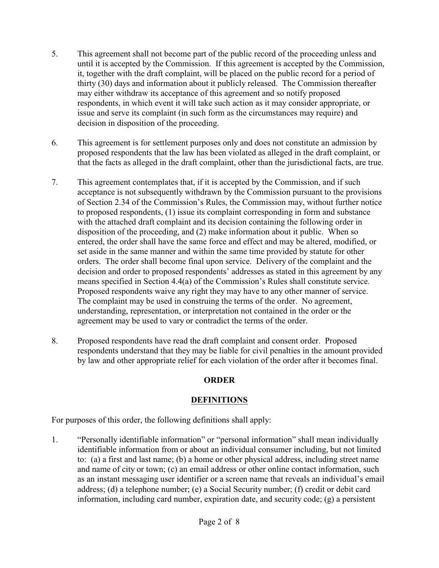- 5. This agreement shall not become part of the public record of the proceeding unless and until it is accepted by the Commission. If this agreement is accepted by the Commission, it, together with the draft complaint, will be placed on the public record for a period of thirty (30) days and information about it publicly released. The Commission thereafter may either withdraw its acceptance of this agreement and so notify proposed respondents, in which event it will take such action as it may consider appropriate, or issue and serve its complaint (in such form as the circumstances may require) and decision in disposition of the proceeding.
- 6. This agreement is for settlement purposes only and does not constitute an admission by proposed respondents that the law has been violated as alleged in the draft complaint, or that the facts as alleged in the draft complaint, other than the jurisdictional facts, are true.
- 7. This agreement contemplates that, if it is accepted by the Commission, and if such acceptance is not subsequently withdrawn by the Commission pursuant to the provisions of Section 2.34 of the Commission's Rules, the Commission may, without further notice to proposed respondents, (1) issue its complaint corresponding in form and substance with the attached draft complaint and its decision containing the following order in disposition of the proceeding, and (2) make information about it public. When so entered, the order shall have the same force and effect and may be altered, modified, or set aside in the same manner and within the same time provided by statute for other orders. The order shall become final upon service. Delivery of the complaint and the decision and order to proposed respondents' addresses as stated in this agreement by any means specified in Section 4.4(a) of the Commission's Rules shall constitute service. Proposed respondents waive any right they may have to any other manner of service. The complaint may be used in construing the terms of the order. No agreement, understanding, representation, or interpretation not contained in the order or the agreement may be used to vary or contradict the terms of the order.
- 8. Proposed respondents have read the draft complaint and consent order. Proposed respondents understand that they may be liable for civil penalties in the amount provided by law and other appropriate relief for each violation of the order after it becomes final.

# **ORDER**

# **DEFINITIONS**

For purposes of this order, the following definitions shall apply:

1. "Personally identifiable information" or "personal information" shall mean individually identifiable information from or about an individual consumer including, but not limited to: (a) a first and last name; (b) a home or other physical address, including street name and name of city or town; (c) an email address or other online contact information, such as an instant messaging user identifier or a screen name that reveals an individual's email address; (d) a telephone number; (e) a Social Security number; (f) credit or debit card information, including card number, expiration date, and security code; (g) a persistent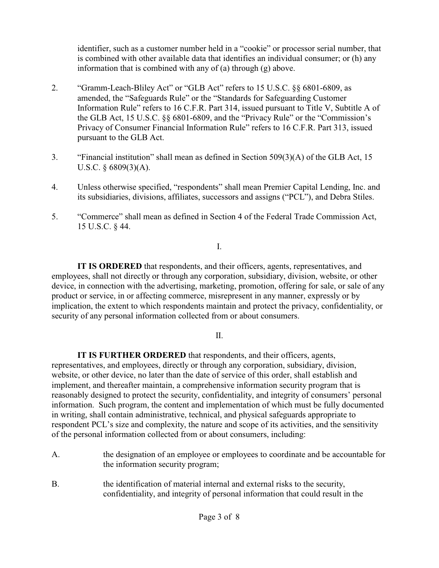identifier, such as a customer number held in a "cookie" or processor serial number, that is combined with other available data that identifies an individual consumer; or (h) any information that is combined with any of (a) through (g) above.

- 2. "Gramm-Leach-Bliley Act" or "GLB Act" refers to 15 U.S.C. §§ 6801-6809, as amended, the "Safeguards Rule" or the "Standards for Safeguarding Customer Information Rule" refers to 16 C.F.R. Part 314, issued pursuant to Title V, Subtitle A of the GLB Act, 15 U.S.C. §§ 6801-6809, and the "Privacy Rule" or the "Commission's Privacy of Consumer Financial Information Rule" refers to 16 C.F.R. Part 313, issued pursuant to the GLB Act.
- 3. "Financial institution" shall mean as defined in Section 509(3)(A) of the GLB Act, 15 U.S.C.  $\S$  6809(3)(A).
- 4. Unless otherwise specified, "respondents" shall mean Premier Capital Lending, Inc. and its subsidiaries, divisions, affiliates, successors and assigns ("PCL"), and Debra Stiles.
- 5. "Commerce" shall mean as defined in Section 4 of the Federal Trade Commission Act, 15 U.S.C. § 44.

I.

**IT IS ORDERED** that respondents, and their officers, agents, representatives, and employees, shall not directly or through any corporation, subsidiary, division, website, or other device, in connection with the advertising, marketing, promotion, offering for sale, or sale of any product or service, in or affecting commerce, misrepresent in any manner, expressly or by implication, the extent to which respondents maintain and protect the privacy, confidentiality, or security of any personal information collected from or about consumers.

II.

**IT IS FURTHER ORDERED** that respondents, and their officers, agents, representatives, and employees, directly or through any corporation, subsidiary, division, website, or other device, no later than the date of service of this order, shall establish and implement, and thereafter maintain, a comprehensive information security program that is reasonably designed to protect the security, confidentiality, and integrity of consumers' personal information. Such program, the content and implementation of which must be fully documented in writing, shall contain administrative, technical, and physical safeguards appropriate to respondent PCL's size and complexity, the nature and scope of its activities, and the sensitivity of the personal information collected from or about consumers, including:

- A. the designation of an employee or employees to coordinate and be accountable for the information security program;
- B. the identification of material internal and external risks to the security, confidentiality, and integrity of personal information that could result in the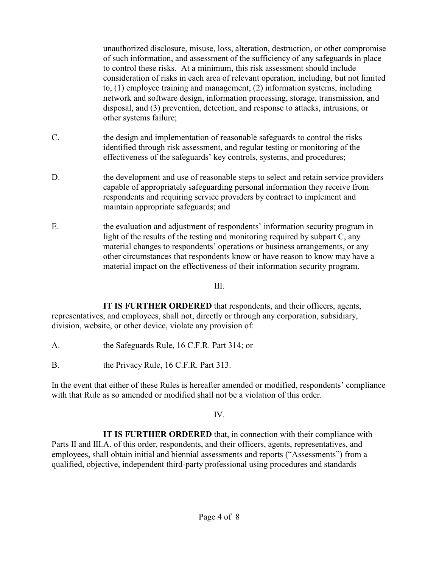unauthorized disclosure, misuse, loss, alteration, destruction, or other compromise of such information, and assessment of the sufficiency of any safeguards in place to control these risks. At a minimum, this risk assessment should include consideration of risks in each area of relevant operation, including, but not limited to, (1) employee training and management, (2) information systems, including network and software design, information processing, storage, transmission, and disposal, and (3) prevention, detection, and response to attacks, intrusions, or other systems failure;

- C. the design and implementation of reasonable safeguards to control the risks identified through risk assessment, and regular testing or monitoring of the effectiveness of the safeguards' key controls, systems, and procedures;
- D. the development and use of reasonable steps to select and retain service providers capable of appropriately safeguarding personal information they receive from respondents and requiring service providers by contract to implement and maintain appropriate safeguards; and
- E. the evaluation and adjustment of respondents' information security program in light of the results of the testing and monitoring required by subpart C, any material changes to respondents' operations or business arrangements, or any other circumstances that respondents know or have reason to know may have a material impact on the effectiveness of their information security program.

III.

**IT IS FURTHER ORDERED** that respondents, and their officers, agents, representatives, and employees, shall not, directly or through any corporation, subsidiary, division, website, or other device, violate any provision of:

- A. the Safeguards Rule, 16 C.F.R. Part 314; or
- B. the Privacy Rule, 16 C.F.R. Part 313.

In the event that either of these Rules is hereafter amended or modified, respondents' compliance with that Rule as so amended or modified shall not be a violation of this order.

IV.

**IT IS FURTHER ORDERED** that, in connection with their compliance with Parts II and III.A. of this order, respondents, and their officers, agents, representatives, and employees, shall obtain initial and biennial assessments and reports ("Assessments") from a qualified, objective, independent third-party professional using procedures and standards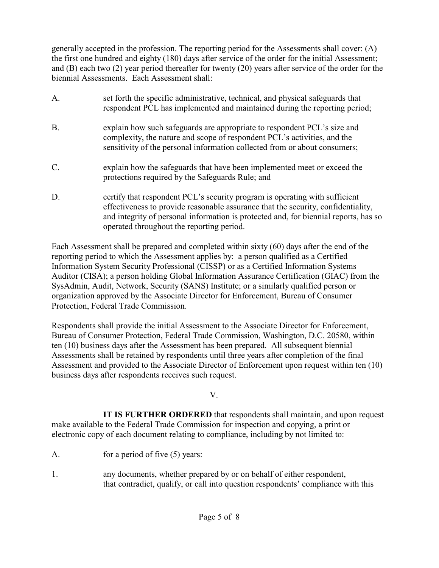generally accepted in the profession. The reporting period for the Assessments shall cover: (A) the first one hundred and eighty (180) days after service of the order for the initial Assessment; and (B) each two (2) year period thereafter for twenty (20) years after service of the order for the biennial Assessments. Each Assessment shall:

- A. set forth the specific administrative, technical, and physical safeguards that respondent PCL has implemented and maintained during the reporting period; B. explain how such safeguards are appropriate to respondent PCL's size and complexity, the nature and scope of respondent PCL's activities, and the sensitivity of the personal information collected from or about consumers; C. explain how the safeguards that have been implemented meet or exceed the protections required by the Safeguards Rule; and D. certify that respondent PCL's security program is operating with sufficient effectiveness to provide reasonable assurance that the security, confidentiality,
- Each Assessment shall be prepared and completed within sixty (60) days after the end of the reporting period to which the Assessment applies by: a person qualified as a Certified Information System Security Professional (CISSP) or as a Certified Information Systems Auditor (CISA); a person holding Global Information Assurance Certification (GIAC) from the SysAdmin, Audit, Network, Security (SANS) Institute; or a similarly qualified person or organization approved by the Associate Director for Enforcement, Bureau of Consumer Protection, Federal Trade Commission.

operated throughout the reporting period.

and integrity of personal information is protected and, for biennial reports, has so

Respondents shall provide the initial Assessment to the Associate Director for Enforcement, Bureau of Consumer Protection, Federal Trade Commission, Washington, D.C. 20580, within ten (10) business days after the Assessment has been prepared. All subsequent biennial Assessments shall be retained by respondents until three years after completion of the final Assessment and provided to the Associate Director of Enforcement upon request within ten (10) business days after respondents receives such request.

## V.

**IT IS FURTHER ORDERED** that respondents shall maintain, and upon request make available to the Federal Trade Commission for inspection and copying, a print or electronic copy of each document relating to compliance, including by not limited to:

- A. for a period of five (5) years:
- 1. any documents, whether prepared by or on behalf of either respondent, that contradict, qualify, or call into question respondents' compliance with this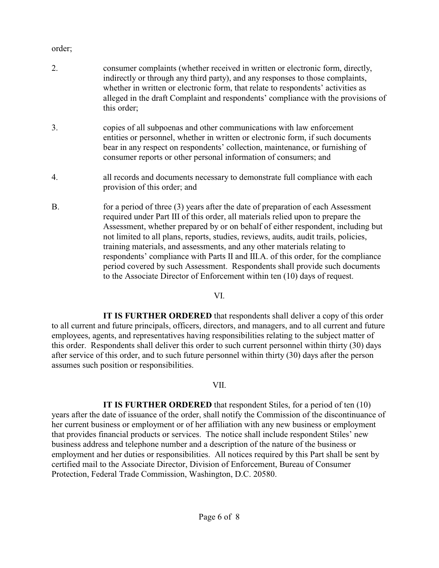#### order;

- 2. consumer complaints (whether received in written or electronic form, directly, indirectly or through any third party), and any responses to those complaints, whether in written or electronic form, that relate to respondents' activities as alleged in the draft Complaint and respondents' compliance with the provisions of this order;
- 3. copies of all subpoenas and other communications with law enforcement entities or personnel, whether in written or electronic form, if such documents bear in any respect on respondents' collection, maintenance, or furnishing of consumer reports or other personal information of consumers; and
- 4. all records and documents necessary to demonstrate full compliance with each provision of this order; and
- B. for a period of three (3) years after the date of preparation of each Assessment required under Part III of this order, all materials relied upon to prepare the Assessment, whether prepared by or on behalf of either respondent, including but not limited to all plans, reports, studies, reviews, audits, audit trails, policies, training materials, and assessments, and any other materials relating to respondents' compliance with Parts II and III.A. of this order, for the compliance period covered by such Assessment. Respondents shall provide such documents to the Associate Director of Enforcement within ten (10) days of request.

#### VI.

**IT IS FURTHER ORDERED** that respondents shall deliver a copy of this order to all current and future principals, officers, directors, and managers, and to all current and future employees, agents, and representatives having responsibilities relating to the subject matter of this order. Respondents shall deliver this order to such current personnel within thirty (30) days after service of this order, and to such future personnel within thirty (30) days after the person assumes such position or responsibilities.

#### VII.

**IT IS FURTHER ORDERED** that respondent Stiles, for a period of ten (10) years after the date of issuance of the order, shall notify the Commission of the discontinuance of her current business or employment or of her affiliation with any new business or employment that provides financial products or services. The notice shall include respondent Stiles' new business address and telephone number and a description of the nature of the business or employment and her duties or responsibilities. All notices required by this Part shall be sent by certified mail to the Associate Director, Division of Enforcement, Bureau of Consumer Protection, Federal Trade Commission, Washington, D.C. 20580.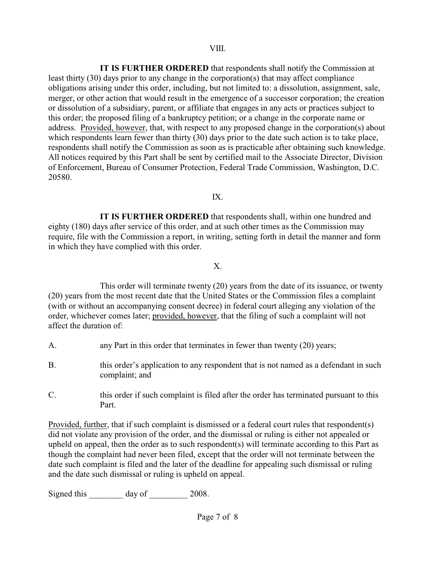**IT IS FURTHER ORDERED** that respondents shall notify the Commission at least thirty (30) days prior to any change in the corporation(s) that may affect compliance obligations arising under this order, including, but not limited to: a dissolution, assignment, sale, merger, or other action that would result in the emergence of a successor corporation; the creation or dissolution of a subsidiary, parent, or affiliate that engages in any acts or practices subject to this order; the proposed filing of a bankruptcy petition; or a change in the corporate name or address. Provided, however, that, with respect to any proposed change in the corporation(s) about which respondents learn fewer than thirty (30) days prior to the date such action is to take place, respondents shall notify the Commission as soon as is practicable after obtaining such knowledge. All notices required by this Part shall be sent by certified mail to the Associate Director, Division of Enforcement, Bureau of Consumer Protection, Federal Trade Commission, Washington, D.C. 20580.

#### IX.

**IT IS FURTHER ORDERED** that respondents shall, within one hundred and eighty (180) days after service of this order, and at such other times as the Commission may require, file with the Commission a report, in writing, setting forth in detail the manner and form in which they have complied with this order.

## X.

This order will terminate twenty (20) years from the date of its issuance, or twenty (20) years from the most recent date that the United States or the Commission files a complaint (with or without an accompanying consent decree) in federal court alleging any violation of the order, whichever comes later; provided, however, that the filing of such a complaint will not affect the duration of:

- A. any Part in this order that terminates in fewer than twenty (20) years;
- B. this order's application to any respondent that is not named as a defendant in such complaint; and
- C. this order if such complaint is filed after the order has terminated pursuant to this Part.

Provided, further, that if such complaint is dismissed or a federal court rules that respondent(s) did not violate any provision of the order, and the dismissal or ruling is either not appealed or upheld on appeal, then the order as to such respondent(s) will terminate according to this Part as though the complaint had never been filed, except that the order will not terminate between the date such complaint is filed and the later of the deadline for appealing such dismissal or ruling and the date such dismissal or ruling is upheld on appeal.

Signed this day of 2008.